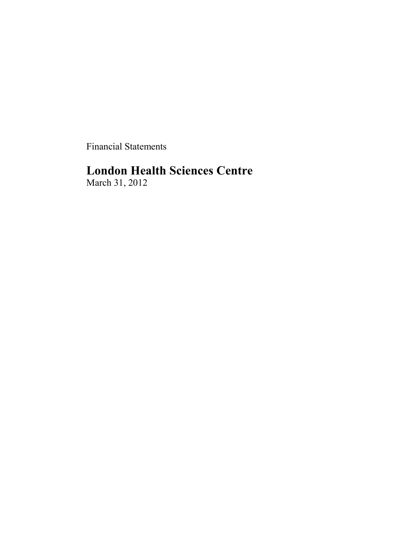Financial Statements

# **London Health Sciences Centre**

March 31, 2012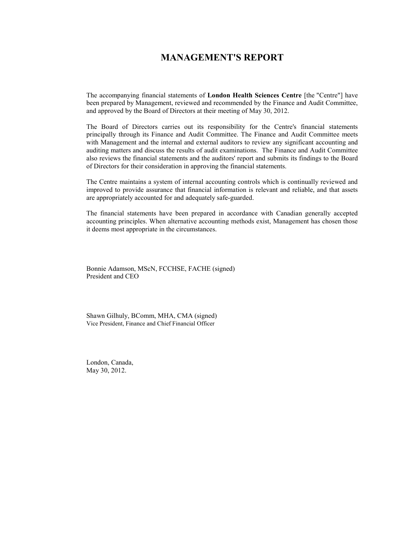## **MANAGEMENT'S REPORT**

The accompanying financial statements of **London Health Sciences Centre** [the "Centre"] have been prepared by Management, reviewed and recommended by the Finance and Audit Committee, and approved by the Board of Directors at their meeting of May 30, 2012.

The Board of Directors carries out its responsibility for the Centre's financial statements principally through its Finance and Audit Committee. The Finance and Audit Committee meets with Management and the internal and external auditors to review any significant accounting and auditing matters and discuss the results of audit examinations. The Finance and Audit Committee also reviews the financial statements and the auditors' report and submits its findings to the Board of Directors for their consideration in approving the financial statements.

The Centre maintains a system of internal accounting controls which is continually reviewed and improved to provide assurance that financial information is relevant and reliable, and that assets are appropriately accounted for and adequately safe-guarded.

The financial statements have been prepared in accordance with Canadian generally accepted accounting principles. When alternative accounting methods exist, Management has chosen those it deems most appropriate in the circumstances.

Bonnie Adamson, MScN, FCCHSE, FACHE (signed) President and CEO

Shawn Gilhuly, BComm, MHA, CMA (signed) Vice President, Finance and Chief Financial Officer

London, Canada, May 30, 2012.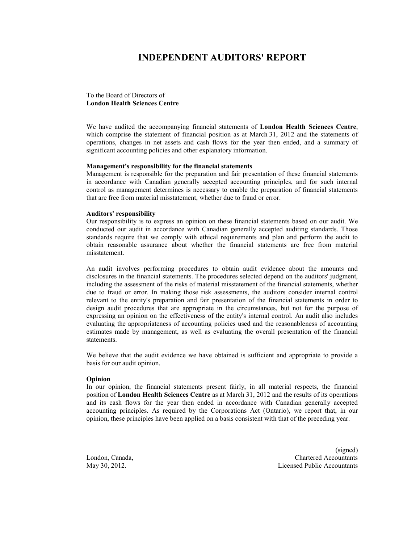## **INDEPENDENT AUDITORS' REPORT**

To the Board of Directors of **London Health Sciences Centre** 

We have audited the accompanying financial statements of **London Health Sciences Centre**, which comprise the statement of financial position as at March 31, 2012 and the statements of operations, changes in net assets and cash flows for the year then ended, and a summary of significant accounting policies and other explanatory information.

#### **Management's responsibility for the financial statements**

Management is responsible for the preparation and fair presentation of these financial statements in accordance with Canadian generally accepted accounting principles, and for such internal control as management determines is necessary to enable the preparation of financial statements that are free from material misstatement, whether due to fraud or error.

#### **Auditors' responsibility**

Our responsibility is to express an opinion on these financial statements based on our audit. We conducted our audit in accordance with Canadian generally accepted auditing standards. Those standards require that we comply with ethical requirements and plan and perform the audit to obtain reasonable assurance about whether the financial statements are free from material misstatement.

An audit involves performing procedures to obtain audit evidence about the amounts and disclosures in the financial statements. The procedures selected depend on the auditors' judgment, including the assessment of the risks of material misstatement of the financial statements, whether due to fraud or error. In making those risk assessments, the auditors consider internal control relevant to the entity's preparation and fair presentation of the financial statements in order to design audit procedures that are appropriate in the circumstances, but not for the purpose of expressing an opinion on the effectiveness of the entity's internal control. An audit also includes evaluating the appropriateness of accounting policies used and the reasonableness of accounting estimates made by management, as well as evaluating the overall presentation of the financial statements.

We believe that the audit evidence we have obtained is sufficient and appropriate to provide a basis for our audit opinion.

#### **Opinion**

In our opinion, the financial statements present fairly, in all material respects, the financial position of **London Health Sciences Centre** as at March 31, 2012 and the results of its operations and its cash flows for the year then ended in accordance with Canadian generally accepted accounting principles. As required by the Corporations Act (Ontario), we report that, in our opinion, these principles have been applied on a basis consistent with that of the preceding year.

(signed) London, Canada, Chartered Accountants May 30, 2012. Licensed Public Accountants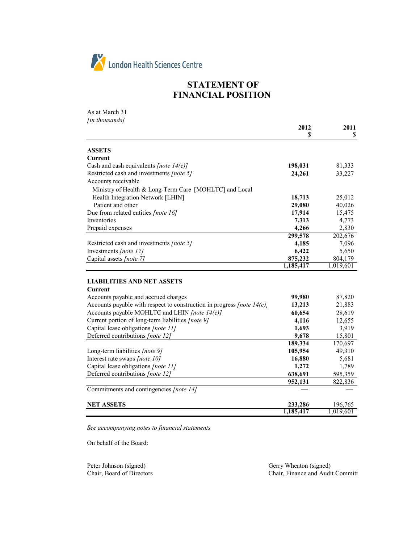

## **STATEMENT OF FINANCIAL POSITION**

As at March 31 *[in thousands]* **2012 2011** \$ \$ **ASSETS Current** Cash and cash equivalents *[note 14(e)]* **198,031** 81,333 Restricted cash and investments *[note 5]* **24,261** 33,227 Accounts receivable Ministry of Health & Long-Term Care [MOHLTC] and Local Health Integration Network [LHIN] **18,713** 25,012 Patient and other **29,080** 40,026 Due from related entities *[note 16]* **17,914** 15,475 Inventories **7,313** 4,773 Prepaid expenses **4,266** 2,830 **299,578** 202,676 Restricted cash and investments *[note 5]* **4,185** 7,096 Investments *[note 17]* **6,422** 5,650 Capital assets *[note 7]* **875,232** 804,179 **1,185,417** 1,019,601 **LIABILITIES AND NET ASSETS Current**

| Accounts payable and accrued charges                                      | 99,980    | 87,820    |
|---------------------------------------------------------------------------|-----------|-----------|
| Accounts payable with respect to construction in progress [note $14(c)$ ] | 13,213    | 21,883    |
| Accounts payable MOHLTC and LHIN [note 14(e)]                             | 60,654    | 28,619    |
| Current portion of long-term liabilities [note 9]                         | 4,116     | 12,655    |
| Capital lease obligations [note 11]                                       | 1,693     | 3.919     |
| Deferred contributions <i>[note 12]</i>                                   | 9,678     | 15,801    |
|                                                                           | 189,334   | 170,697   |
| Long-term liabilities [note 9]                                            | 105,954   | 49,310    |
| Interest rate swaps [note 10]                                             | 16,880    | 5,681     |
| Capital lease obligations [note 11]                                       | 1,272     | 1,789     |
| Deferred contributions <i>[note 12]</i>                                   | 638,691   | 595,359   |
|                                                                           | 952,131   | 822,836   |
| Commitments and contingencies [note 14]                                   |           |           |
|                                                                           |           |           |
| <b>NET ASSETS</b>                                                         | 233,286   | 196,765   |
|                                                                           | 1,185,417 | 1,019,601 |

*See accompanying notes to financial statements*

On behalf of the Board:

Peter Johnson (signed) Gerry Wheaton (signed) Gerry Wheaton (signed) Chair, Board of Directors Chair, Finance and Audit Committ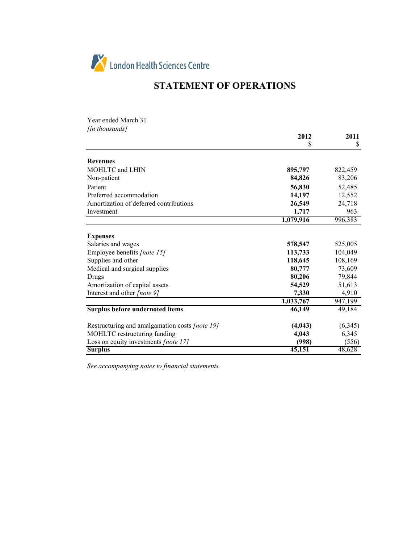

## **STATEMENT OF OPERATIONS**

Year ended March 31 *[in thousands]* **2012 2011** \$ \$ **Revenues** MOHLTC and LHIN **895,797** 822,459 Non-patient **84,826** 83,206 Patient **56,830** 52,485 Preferred accommodation **14,197** 12,552 Amortization of deferred contributions **26,549** 24,718 Investment **1,717** 963 **1,079,916** 996,383 **Expenses** Salaries and wages **578,547** 525,005 Employee benefits *[note 15]* **113,733** 104,049 Supplies and other **118,645** 108,169 Medical and surgical supplies **80,777** 73,609 Drugs **80,206** 79,844 Amortization of capital assets **54,529** 51,613 Interest and other *[note 9]* **7,330** 4,910 **1,033,767** 947,199 **Surplus before undernoted items 46,149** 49,184 Restructuring and amalgamation costs *[note 19]* **(4,043)** (6,345) MOHLTC restructuring funding **4,043** 6,345 Loss on equity investments *[note 17]* **(998)** (556) **Surplus 45,151** 48,628

*See accompanying notes to financial statements*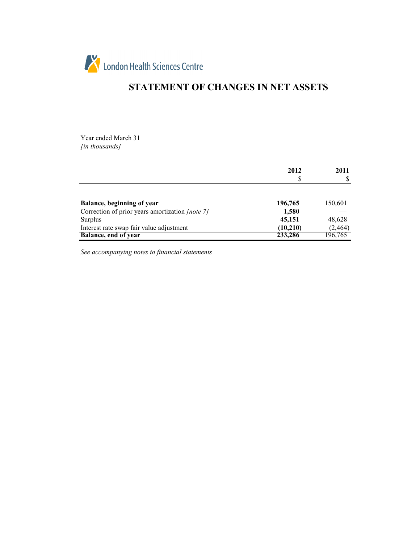

## **STATEMENT OF CHANGES IN NET ASSETS**

Year ended March 31 *[in thousands]*

|                                                 | 2012<br>S | 2011     |
|-------------------------------------------------|-----------|----------|
|                                                 |           |          |
| Balance, beginning of year                      | 196,765   | 150,601  |
| Correction of prior years amortization [note 7] | 1,580     |          |
| Surplus                                         | 45,151    | 48,628   |
| Interest rate swap fair value adjustment        | (10, 210) | (2, 464) |
| <b>Balance, end of year</b>                     | 233,286   | 196,765  |

*See accompanying notes to financial statements*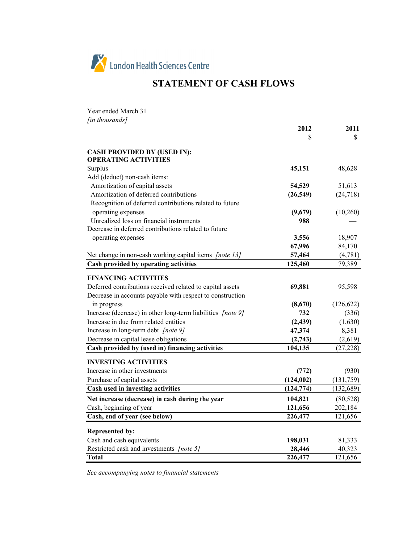

## **STATEMENT OF CASH FLOWS**

Year ended March 31 *[in thousands]*

|                                                                            | 2012<br>S      | 2011<br>\$          |
|----------------------------------------------------------------------------|----------------|---------------------|
|                                                                            |                |                     |
| <b>CASH PROVIDED BY (USED IN):</b><br><b>OPERATING ACTIVITIES</b>          |                |                     |
| Surplus                                                                    | 45,151         | 48,628              |
| Add (deduct) non-cash items:                                               |                |                     |
| Amortization of capital assets                                             | 54,529         | 51,613              |
| Amortization of deferred contributions                                     | (26, 549)      | (24, 718)           |
| Recognition of deferred contributions related to future                    |                |                     |
| operating expenses                                                         | (9,679)        | (10,260)            |
| Unrealized loss on financial instruments                                   | 988            |                     |
| Decrease in deferred contributions related to future                       |                |                     |
| operating expenses                                                         | 3,556          | 18,907              |
|                                                                            | 67,996         | 84,170              |
| Net change in non-cash working capital items [note 13]                     | 57,464         | (4, 781)            |
| Cash provided by operating activities                                      | 125,460        | 79,389              |
|                                                                            |                |                     |
| <b>FINANCING ACTIVITIES</b>                                                |                |                     |
| Deferred contributions received related to capital assets                  | 69,881         | 95,598              |
| Decrease in accounts payable with respect to construction                  |                |                     |
| in progress<br>Increase (decrease) in other long-term liabilities [note 9] | (8,670)<br>732 | (126, 622)<br>(336) |
| Increase in due from related entities                                      | (2, 439)       | (1,630)             |
| Increase in long-term debt [note 9]                                        | 47,374         | 8,381               |
| Decrease in capital lease obligations                                      | (2,743)        | (2,619)             |
| Cash provided by (used in) financing activities                            | 104,135        | (27, 228)           |
|                                                                            |                |                     |
| <b>INVESTING ACTIVITIES</b>                                                |                |                     |
| Increase in other investments                                              | (772)          | (930)               |
| Purchase of capital assets                                                 | (124, 002)     | (131, 759)          |
| Cash used in investing activities                                          | (124, 774)     | (132, 689)          |
| Net increase (decrease) in cash during the year                            | 104,821        | (80, 528)           |
| Cash, beginning of year                                                    | 121,656        | 202,184             |
| Cash, end of year (see below)                                              | 226,477        | 121,656             |
|                                                                            |                |                     |
| <b>Represented by:</b><br>Cash and cash equivalents                        | 198,031        | 81,333              |
| Restricted cash and investments [note 5]                                   | 28,446         | 40,323              |
| <b>Total</b>                                                               | 226,477        | 121,656             |

*See accompanying notes to financial statements*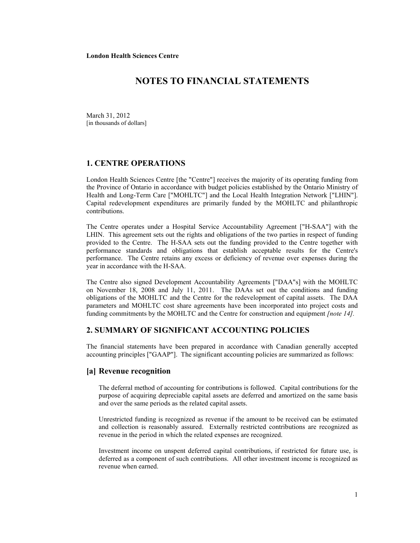March 31, 2012 [in thousands of dollars]

#### **1. CENTRE OPERATIONS**

London Health Sciences Centre [the "Centre"] receives the majority of its operating funding from the Province of Ontario in accordance with budget policies established by the Ontario Ministry of Health and Long-Term Care ["MOHLTC"] and the Local Health Integration Network ["LHIN"]. Capital redevelopment expenditures are primarily funded by the MOHLTC and philanthropic contributions.

The Centre operates under a Hospital Service Accountability Agreement ["H-SAA"] with the LHIN. This agreement sets out the rights and obligations of the two parties in respect of funding provided to the Centre. The H-SAA sets out the funding provided to the Centre together with performance standards and obligations that establish acceptable results for the Centre's performance. The Centre retains any excess or deficiency of revenue over expenses during the year in accordance with the H-SAA.

The Centre also signed Development Accountability Agreements ["DAA"s] with the MOHLTC on November 18, 2008 and July 11, 2011. The DAAs set out the conditions and funding obligations of the MOHLTC and the Centre for the redevelopment of capital assets. The DAA parameters and MOHLTC cost share agreements have been incorporated into project costs and funding commitments by the MOHLTC and the Centre for construction and equipment *[note 14].* 

#### **2. SUMMARY OF SIGNIFICANT ACCOUNTING POLICIES**

The financial statements have been prepared in accordance with Canadian generally accepted accounting principles ["GAAP"]. The significant accounting policies are summarized as follows:

#### **[a] Revenue recognition**

The deferral method of accounting for contributions is followed. Capital contributions for the purpose of acquiring depreciable capital assets are deferred and amortized on the same basis and over the same periods as the related capital assets.

Unrestricted funding is recognized as revenue if the amount to be received can be estimated and collection is reasonably assured. Externally restricted contributions are recognized as revenue in the period in which the related expenses are recognized.

Investment income on unspent deferred capital contributions, if restricted for future use, is deferred as a component of such contributions. All other investment income is recognized as revenue when earned.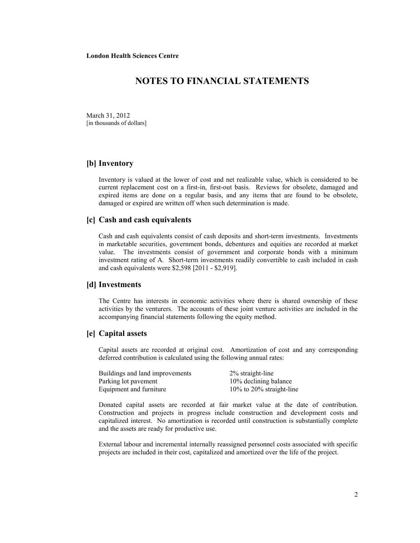March 31, 2012 [in thousands of dollars]

#### **[b] Inventory**

Inventory is valued at the lower of cost and net realizable value, which is considered to be current replacement cost on a first-in, first-out basis. Reviews for obsolete, damaged and expired items are done on a regular basis, and any items that are found to be obsolete, damaged or expired are written off when such determination is made.

#### **[c] Cash and cash equivalents**

Cash and cash equivalents consist of cash deposits and short-term investments. Investments in marketable securities, government bonds, debentures and equities are recorded at market value. The investments consist of government and corporate bonds with a minimum investment rating of A. Short-term investments readily convertible to cash included in cash and cash equivalents were \$2,598 [2011 - \$2,919].

#### **[d] Investments**

The Centre has interests in economic activities where there is shared ownership of these activities by the venturers. The accounts of these joint venture activities are included in the accompanying financial statements following the equity method.

#### **[e] Capital assets**

Capital assets are recorded at original cost. Amortization of cost and any corresponding deferred contribution is calculated using the following annual rates:

| Buildings and land improvements | 2% straight-line            |
|---------------------------------|-----------------------------|
| Parking lot pavement            | 10% declining balance       |
| Equipment and furniture         | $10\%$ to 20% straight-line |

Donated capital assets are recorded at fair market value at the date of contribution. Construction and projects in progress include construction and development costs and capitalized interest. No amortization is recorded until construction is substantially complete and the assets are ready for productive use.

External labour and incremental internally reassigned personnel costs associated with specific projects are included in their cost, capitalized and amortized over the life of the project.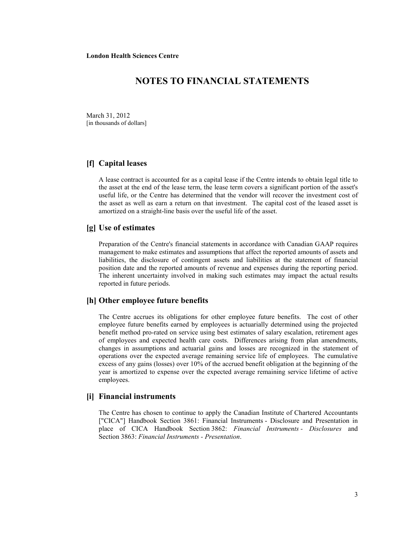March 31, 2012 [in thousands of dollars]

#### **[f] Capital leases**

A lease contract is accounted for as a capital lease if the Centre intends to obtain legal title to the asset at the end of the lease term, the lease term covers a significant portion of the asset's useful life, or the Centre has determined that the vendor will recover the investment cost of the asset as well as earn a return on that investment. The capital cost of the leased asset is amortized on a straight-line basis over the useful life of the asset.

#### **[g] Use of estimates**

Preparation of the Centre's financial statements in accordance with Canadian GAAP requires management to make estimates and assumptions that affect the reported amounts of assets and liabilities, the disclosure of contingent assets and liabilities at the statement of financial position date and the reported amounts of revenue and expenses during the reporting period. The inherent uncertainty involved in making such estimates may impact the actual results reported in future periods.

#### **[h] Other employee future benefits**

The Centre accrues its obligations for other employee future benefits. The cost of other employee future benefits earned by employees is actuarially determined using the projected benefit method pro-rated on service using best estimates of salary escalation, retirement ages of employees and expected health care costs. Differences arising from plan amendments, changes in assumptions and actuarial gains and losses are recognized in the statement of operations over the expected average remaining service life of employees. The cumulative excess of any gains (losses) over 10% of the accrued benefit obligation at the beginning of the year is amortized to expense over the expected average remaining service lifetime of active employees.

#### **[i] Financial instruments**

The Centre has chosen to continue to apply the Canadian Institute of Chartered Accountants ["CICA"] Handbook Section 3861: Financial Instruments - Disclosure and Presentation in place of CICA Handbook Section 3862: *Financial Instruments - Disclosures* and Section 3863: *Financial Instruments - Presentation*.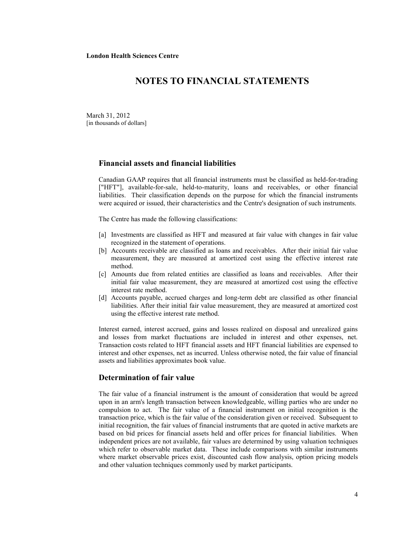March 31, 2012 [in thousands of dollars]

#### **Financial assets and financial liabilities**

Canadian GAAP requires that all financial instruments must be classified as held-for-trading ["HFT"], available-for-sale, held-to-maturity, loans and receivables, or other financial liabilities. Their classification depends on the purpose for which the financial instruments were acquired or issued, their characteristics and the Centre's designation of such instruments.

The Centre has made the following classifications:

- [a] Investments are classified as HFT and measured at fair value with changes in fair value recognized in the statement of operations.
- [b] Accounts receivable are classified as loans and receivables. After their initial fair value measurement, they are measured at amortized cost using the effective interest rate method.
- [c] Amounts due from related entities are classified as loans and receivables. After their initial fair value measurement, they are measured at amortized cost using the effective interest rate method.
- [d] Accounts payable, accrued charges and long-term debt are classified as other financial liabilities. After their initial fair value measurement, they are measured at amortized cost using the effective interest rate method.

Interest earned, interest accrued, gains and losses realized on disposal and unrealized gains and losses from market fluctuations are included in interest and other expenses, net. Transaction costs related to HFT financial assets and HFT financial liabilities are expensed to interest and other expenses, net as incurred. Unless otherwise noted, the fair value of financial assets and liabilities approximates book value.

#### **Determination of fair value**

The fair value of a financial instrument is the amount of consideration that would be agreed upon in an arm's length transaction between knowledgeable, willing parties who are under no compulsion to act. The fair value of a financial instrument on initial recognition is the transaction price, which is the fair value of the consideration given or received. Subsequent to initial recognition, the fair values of financial instruments that are quoted in active markets are based on bid prices for financial assets held and offer prices for financial liabilities. When independent prices are not available, fair values are determined by using valuation techniques which refer to observable market data. These include comparisons with similar instruments where market observable prices exist, discounted cash flow analysis, option pricing models and other valuation techniques commonly used by market participants.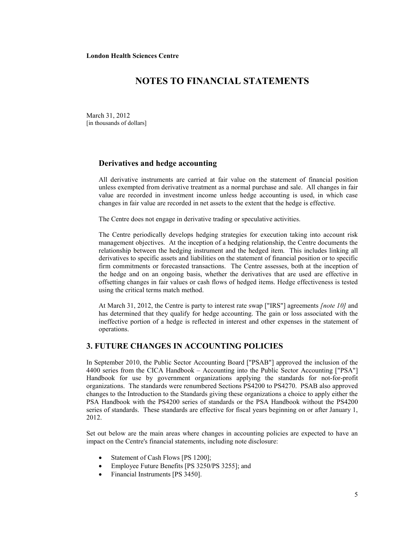March 31, 2012 [in thousands of dollars]

#### **Derivatives and hedge accounting**

All derivative instruments are carried at fair value on the statement of financial position unless exempted from derivative treatment as a normal purchase and sale. All changes in fair value are recorded in investment income unless hedge accounting is used, in which case changes in fair value are recorded in net assets to the extent that the hedge is effective.

The Centre does not engage in derivative trading or speculative activities.

The Centre periodically develops hedging strategies for execution taking into account risk management objectives. At the inception of a hedging relationship, the Centre documents the relationship between the hedging instrument and the hedged item. This includes linking all derivatives to specific assets and liabilities on the statement of financial position or to specific firm commitments or forecasted transactions. The Centre assesses, both at the inception of the hedge and on an ongoing basis, whether the derivatives that are used are effective in offsetting changes in fair values or cash flows of hedged items. Hedge effectiveness is tested using the critical terms match method.

At March 31, 2012, the Centre is party to interest rate swap ["IRS"] agreements *[note 10]* and has determined that they qualify for hedge accounting. The gain or loss associated with the ineffective portion of a hedge is reflected in interest and other expenses in the statement of operations.

#### **3. FUTURE CHANGES IN ACCOUNTING POLICIES**

In September 2010, the Public Sector Accounting Board ["PSAB"] approved the inclusion of the 4400 series from the CICA Handbook – Accounting into the Public Sector Accounting ["PSA"] Handbook for use by government organizations applying the standards for not-for-profit organizations. The standards were renumbered Sections PS4200 to PS4270. PSAB also approved changes to the Introduction to the Standards giving these organizations a choice to apply either the PSA Handbook with the PS4200 series of standards or the PSA Handbook without the PS4200 series of standards. These standards are effective for fiscal years beginning on or after January 1, 2012.

Set out below are the main areas where changes in accounting policies are expected to have an impact on the Centre's financial statements, including note disclosure:

- Statement of Cash Flows [PS 1200];
- Employee Future Benefits [PS 3250/PS 3255]; and
- Financial Instruments [PS 3450].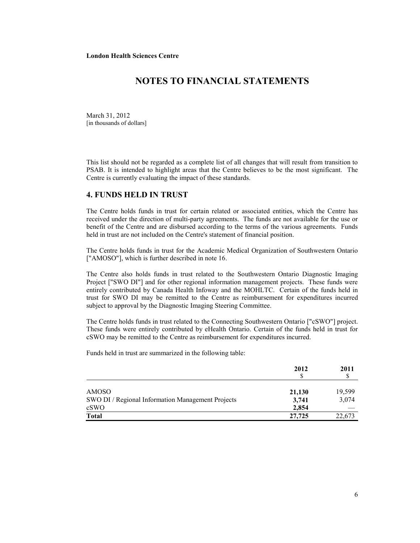March 31, 2012 [in thousands of dollars]

This list should not be regarded as a complete list of all changes that will result from transition to PSAB. It is intended to highlight areas that the Centre believes to be the most significant. The Centre is currently evaluating the impact of these standards.

#### **4. FUNDS HELD IN TRUST**

The Centre holds funds in trust for certain related or associated entities, which the Centre has received under the direction of multi-party agreements. The funds are not available for the use or benefit of the Centre and are disbursed according to the terms of the various agreements. Funds held in trust are not included on the Centre's statement of financial position.

The Centre holds funds in trust for the Academic Medical Organization of Southwestern Ontario ["AMOSO"], which is further described in note 16.

The Centre also holds funds in trust related to the Southwestern Ontario Diagnostic Imaging Project ["SWO DI"] and for other regional information management projects. These funds were entirely contributed by Canada Health Infoway and the MOHLTC. Certain of the funds held in trust for SWO DI may be remitted to the Centre as reimbursement for expenditures incurred subject to approval by the Diagnostic Imaging Steering Committee.

The Centre holds funds in trust related to the Connecting Southwestern Ontario ["cSWO"] project. These funds were entirely contributed by eHealth Ontario. Certain of the funds held in trust for cSWO may be remitted to the Centre as reimbursement for expenditures incurred.

Funds held in trust are summarized in the following table:

|                                                   | 2012   | 2011   |
|---------------------------------------------------|--------|--------|
| AMOSO                                             | 21,130 | 19,599 |
| SWO DI / Regional Information Management Projects | 3,741  | 3,074  |
| cSWO                                              | 2,854  |        |
| <b>Total</b>                                      | 27,725 | 22,673 |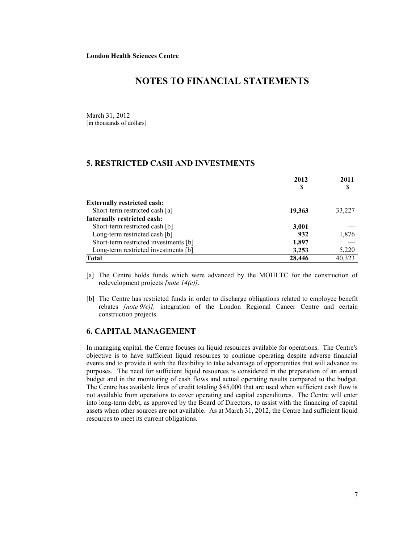March 31, 2012 [in thousands of dollars]

#### **5. RESTRICTED CASH AND INVESTMENTS**

|                                       | 2012   | 2011   |
|---------------------------------------|--------|--------|
|                                       |        | \$     |
| <b>Externally restricted cash:</b>    |        |        |
| Short-term restricted cash [a]        | 19,363 | 33,227 |
| Internally restricted cash:           |        |        |
| Short-term restricted cash [b]        | 3,001  |        |
| Long-term restricted cash [b]         | 932    | 1,876  |
| Short-term restricted investments [b] | 1,897  |        |
| Long-term restricted investments [b]  | 3,253  | 5,220  |
| <b>Total</b>                          | 28,446 | 40.323 |

[a] The Centre holds funds which were advanced by the MOHLTC for the construction of redevelopment projects *[note 14(c)].* 

[b] The Centre has restricted funds in order to discharge obligations related to employee benefit rebates *[note*  $9(e)$ *]*, integration of the London Regional Cancer Centre and certain construction projects.

#### **6. CAPITAL MANAGEMENT**

In managing capital, the Centre focuses on liquid resources available for operations. The Centre's objective is to have sufficient liquid resources to continue operating despite adverse financial events and to provide it with the flexibility to take advantage of opportunities that will advance its purposes. The need for sufficient liquid resources is considered in the preparation of an annual budget and in the monitoring of cash flows and actual operating results compared to the budget. The Centre has available lines of credit totaling \$45,000 that are used when sufficient cash flow is not available from operations to cover operating and capital expenditures. The Centre will enter into long-term debt, as approved by the Board of Directors, to assist with the financing of capital assets when other sources are not available. As at March 31, 2012, the Centre had sufficient liquid resources to meet its current obligations.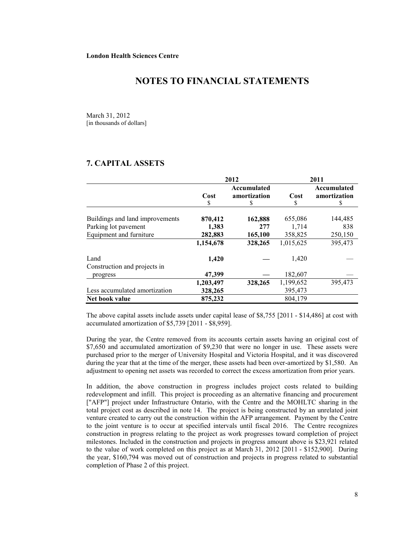March 31, 2012 [in thousands of dollars]

### **7. CAPITAL ASSETS**

|                                      | 2012      |                                  | 2011       |                                  |
|--------------------------------------|-----------|----------------------------------|------------|----------------------------------|
|                                      | Cost<br>S | Accumulated<br>amortization<br>S | Cost<br>\$ | Accumulated<br>amortization<br>Ъ |
| Buildings and land improvements      | 870,412   | 162,888                          | 655,086    | 144,485                          |
| Parking lot pavement                 | 1,383     | 277                              | 1,714      | 838                              |
| Equipment and furniture              | 282,883   | 165,100                          | 358,825    | 250,150                          |
|                                      | 1,154,678 | 328,265                          | 1,015,625  | 395,473                          |
| Land<br>Construction and projects in | 1,420     |                                  | 1,420      |                                  |
| progress                             | 47.399    |                                  | 182,607    |                                  |
|                                      | 1,203,497 | 328,265                          | 1,199,652  | 395,473                          |
| Less accumulated amortization        | 328,265   |                                  | 395,473    |                                  |
| Net book value                       | 875,232   |                                  | 804,179    |                                  |

The above capital assets include assets under capital lease of \$8,755 [2011 - \$14,486] at cost with accumulated amortization of \$5,739 [2011 - \$8,959].

During the year, the Centre removed from its accounts certain assets having an original cost of \$7,650 and accumulated amortization of \$9,230 that were no longer in use. These assets were purchased prior to the merger of University Hospital and Victoria Hospital, and it was discovered during the year that at the time of the merger, these assets had been over-amortized by \$1,580. An adjustment to opening net assets was recorded to correct the excess amortization from prior years.

In addition, the above construction in progress includes project costs related to building redevelopment and infill. This project is proceeding as an alternative financing and procurement ["AFP"] project under Infrastructure Ontario, with the Centre and the MOHLTC sharing in the total project cost as described in note 14. The project is being constructed by an unrelated joint venture created to carry out the construction within the AFP arrangement. Payment by the Centre to the joint venture is to occur at specified intervals until fiscal 2016. The Centre recognizes construction in progress relating to the project as work progresses toward completion of project milestones. Included in the construction and projects in progress amount above is \$23,921 related to the value of work completed on this project as at March 31, 2012 [2011 - \$152,900]. During the year, \$160,794 was moved out of construction and projects in progress related to substantial completion of Phase 2 of this project.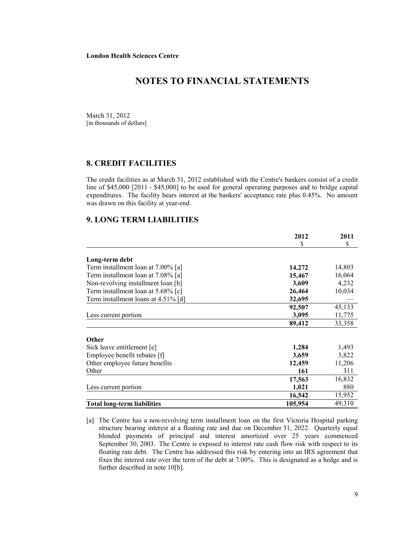March 31, 2012 [in thousands of dollars]

### **8. CREDIT FACILITIES**

The credit facilities as at March 31, 2012 established with the Centre's bankers consist of a credit line of \$45,000 [2011 - \$45,000] to be used for general operating purposes and to bridge capital expenditures. The facility bears interest at the bankers' acceptance rate plus 0.45%. No amount was drawn on this facility at year-end.

## **9. LONG TERM LIABILITIES**

|                                     | 2012    | 2011   |
|-------------------------------------|---------|--------|
|                                     | S       | \$     |
| Long-term debt                      |         |        |
| Term installment loan at 7.00% [a]  | 14,272  | 14,803 |
| Term installment loan at 7.08% [a]  | 15,467  | 16,064 |
| Non-revolving installment loan [b]  | 3,609   | 4,232  |
| Term installment loan at 5.68% [c]  | 26,464  | 10,034 |
| Term installment loans at 4.51% [d] | 32,695  |        |
|                                     | 92,507  | 45,133 |
| Less current portion                | 3,095   | 11,775 |
|                                     | 89,412  | 33,358 |
| <b>Other</b>                        |         |        |
| Sick leave entitlement [e]          | 1,284   | 1,493  |
| Employee benefit rebates [f]        | 3,659   | 3,822  |
| Other employee future benefits      | 12,459  | 11,206 |
| Other                               | 161     | 311    |
|                                     | 17,563  | 16,832 |
| Less current portion                | 1,021   | 880    |
|                                     | 16,542  | 15,952 |
| <b>Total long-term liabilities</b>  | 105,954 | 49,310 |

[a] The Centre has a non-revolving term installment loan on the first Victoria Hospital parking structure bearing interest at a floating rate and due on December 31, 2022. Quarterly equal blended payments of principal and interest amortized over 25 years commenced September 30, 2003. The Centre is exposed to interest rate cash flow risk with respect to its floating rate debt. The Centre has addressed this risk by entering into an IRS agreement that fixes the interest rate over the term of the debt at 7.00%. This is designated as a hedge and is further described in note 10[b].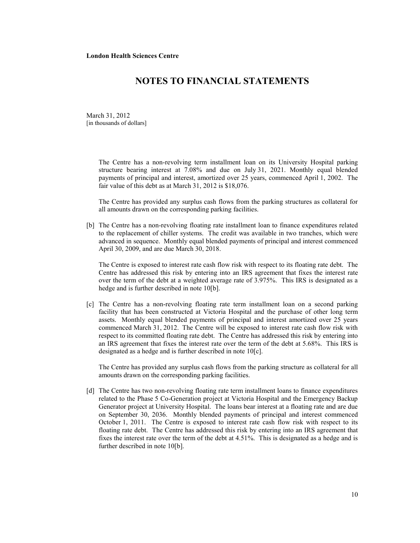March 31, 2012 [in thousands of dollars]

> The Centre has a non-revolving term installment loan on its University Hospital parking structure bearing interest at 7.08% and due on July 31, 2021. Monthly equal blended payments of principal and interest, amortized over 25 years, commenced April 1, 2002. The fair value of this debt as at March 31, 2012 is \$18,076.

> The Centre has provided any surplus cash flows from the parking structures as collateral for all amounts drawn on the corresponding parking facilities.

[b] The Centre has a non-revolving floating rate installment loan to finance expenditures related to the replacement of chiller systems. The credit was available in two tranches, which were advanced in sequence. Monthly equal blended payments of principal and interest commenced April 30, 2009, and are due March 30, 2018.

The Centre is exposed to interest rate cash flow risk with respect to its floating rate debt. The Centre has addressed this risk by entering into an IRS agreement that fixes the interest rate over the term of the debt at a weighted average rate of 3.975%. This IRS is designated as a hedge and is further described in note 10[b].

[c] The Centre has a non-revolving floating rate term installment loan on a second parking facility that has been constructed at Victoria Hospital and the purchase of other long term assets. Monthly equal blended payments of principal and interest amortized over 25 years commenced March 31, 2012. The Centre will be exposed to interest rate cash flow risk with respect to its committed floating rate debt. The Centre has addressed this risk by entering into an IRS agreement that fixes the interest rate over the term of the debt at 5.68%. This IRS is designated as a hedge and is further described in note 10[c].

The Centre has provided any surplus cash flows from the parking structure as collateral for all amounts drawn on the corresponding parking facilities.

[d] The Centre has two non-revolving floating rate term installment loans to finance expenditures related to the Phase 5 Co-Generation project at Victoria Hospital and the Emergency Backup Generator project at University Hospital. The loans bear interest at a floating rate and are due on September 30, 2036. Monthly blended payments of principal and interest commenced October 1, 2011. The Centre is exposed to interest rate cash flow risk with respect to its floating rate debt. The Centre has addressed this risk by entering into an IRS agreement that fixes the interest rate over the term of the debt at 4.51%. This is designated as a hedge and is further described in note 10[b].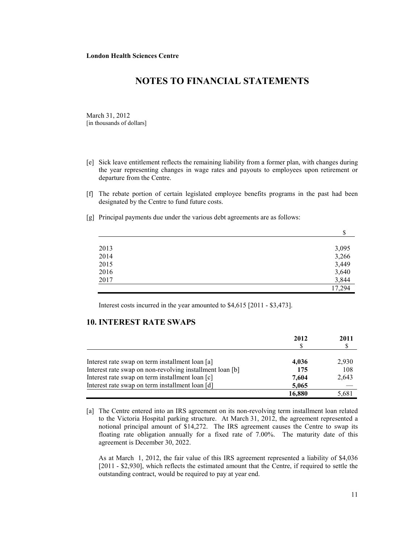March 31, 2012 [in thousands of dollars]

- [e] Sick leave entitlement reflects the remaining liability from a former plan, with changes during the year representing changes in wage rates and payouts to employees upon retirement or departure from the Centre.
- [f] The rebate portion of certain legislated employee benefits programs in the past had been designated by the Centre to fund future costs.
- [g] Principal payments due under the various debt agreements are as follows:

|      | \$             |
|------|----------------|
|      |                |
| 2013 | 3,095          |
| 2014 | 3,266          |
| 2015 | 3,449          |
| 2016 |                |
| 2017 | 3,640<br>3,844 |
|      | 17,294         |

Interest costs incurred in the year amounted to \$4,615 [2011 - \$3,473].

#### **10. INTEREST RATE SWAPS**

|                                                          | 2012   | 2011  |
|----------------------------------------------------------|--------|-------|
| Interest rate swap on term installment loan [a]          | 4,036  | 2,930 |
| Interest rate swap on non-revolving installment loan [b] | 175    | 108   |
| Interest rate swap on term installment loan [c]          | 7.604  | 2,643 |
| Interest rate swap on term installment loan [d]          | 5,065  |       |
|                                                          | 16,880 | 5,681 |

[a] The Centre entered into an IRS agreement on its non-revolving term installment loan related to the Victoria Hospital parking structure. At March 31, 2012, the agreement represented a notional principal amount of \$14,272. The IRS agreement causes the Centre to swap its floating rate obligation annually for a fixed rate of 7.00%. The maturity date of this agreement is December 30, 2022.

As at March 1, 2012, the fair value of this IRS agreement represented a liability of \$4,036 [2011 - \$2,930], which reflects the estimated amount that the Centre, if required to settle the outstanding contract, would be required to pay at year end.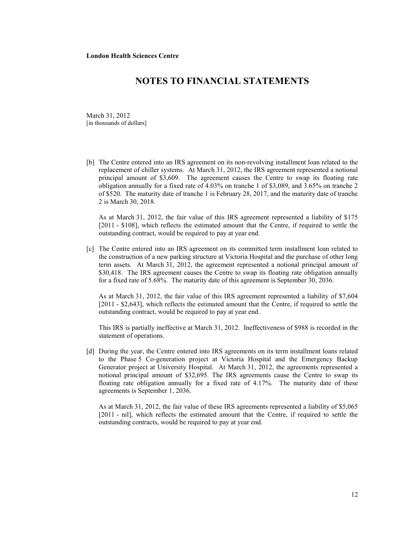March 31, 2012 [in thousands of dollars]

[b] The Centre entered into an IRS agreement on its non-revolving installment loan related to the replacement of chiller systems. At March 31, 2012, the IRS agreement represented a notional principal amount of \$3,609. The agreement causes the Centre to swap its floating rate obligation annually for a fixed rate of 4.03% on tranche 1 of \$3,089, and 3.65% on tranche 2 of \$520. The maturity date of tranche 1 is February 28, 2017, and the maturity date of tranche 2 is March 30, 2018.

As at March 31, 2012, the fair value of this IRS agreement represented a liability of \$175 [2011 - \$108], which reflects the estimated amount that the Centre, if required to settle the outstanding contract, would be required to pay at year end.

[c] The Centre entered into an IRS agreement on its committed term installment loan related to the construction of a new parking structure at Victoria Hospital and the purchase of other long term assets. At March 31, 2012, the agreement represented a notional principal amount of \$30,418. The IRS agreement causes the Centre to swap its floating rate obligation annually for a fixed rate of 5.68%. The maturity date of this agreement is September 30, 2036.

As at March 31, 2012, the fair value of this IRS agreement represented a liability of \$7,604 [2011 - \$2,643], which reflects the estimated amount that the Centre, if required to settle the outstanding contract, would be required to pay at year end.

This IRS is partially ineffective at March 31, 2012. Ineffectiveness of \$988 is recorded in the statement of operations.

[d] During the year, the Centre entered into IRS agreements on its term installment loans related to the Phase 5 Co-generation project at Victoria Hospital and the Emergency Backup Generator project at University Hospital. At March 31, 2012, the agreements represented a notional principal amount of \$32,695. The IRS agreements cause the Centre to swap its floating rate obligation annually for a fixed rate of 4.17%. The maturity date of these agreements is September 1, 2036.

As at March 31, 2012, the fair value of these IRS agreements represented a liability of \$5,065 [2011 - nil], which reflects the estimated amount that the Centre, if required to settle the outstanding contracts, would be required to pay at year end.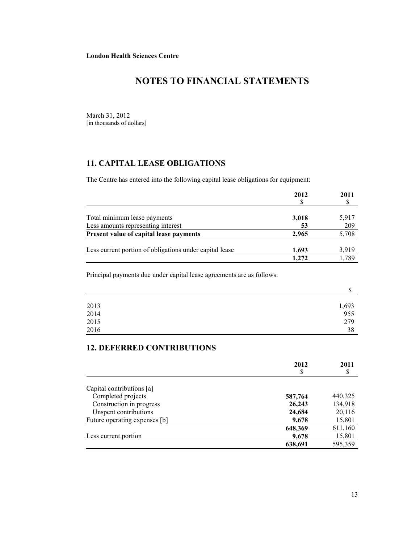March 31, 2012 [in thousands of dollars]

## **11. CAPITAL LEASE OBLIGATIONS**

The Centre has entered into the following capital lease obligations for equipment:

|                                                         | 2012  | 2011  |
|---------------------------------------------------------|-------|-------|
|                                                         |       |       |
| Total minimum lease payments                            | 3,018 | 5.917 |
| Less amounts representing interest                      | 53    | 209   |
| Present value of capital lease payments                 | 2,965 | 5,708 |
| Less current portion of obligations under capital lease | 1.693 | 3,919 |
|                                                         | 1,272 | 1,789 |

Principal payments due under capital lease agreements are as follows:

|                                                             | Φ                   |
|-------------------------------------------------------------|---------------------|
|                                                             |                     |
|                                                             |                     |
|                                                             |                     |
|                                                             | 1,693<br>955<br>279 |
| $\begin{array}{c} 2013 \\ 2014 \\ 2015 \\ 2016 \end{array}$ | 38                  |

## **12. DEFERRED CONTRIBUTIONS**

|                               | 2012    | 2011    |
|-------------------------------|---------|---------|
|                               | D       | \$      |
| Capital contributions [a]     |         |         |
|                               |         |         |
| Completed projects            | 587,764 | 440,325 |
| Construction in progress      | 26,243  | 134,918 |
| Unspent contributions         | 24,684  | 20,116  |
| Future operating expenses [b] | 9,678   | 15,801  |
|                               | 648,369 | 611,160 |
| Less current portion          | 9,678   | 15,801  |
|                               | 638,691 | 595,359 |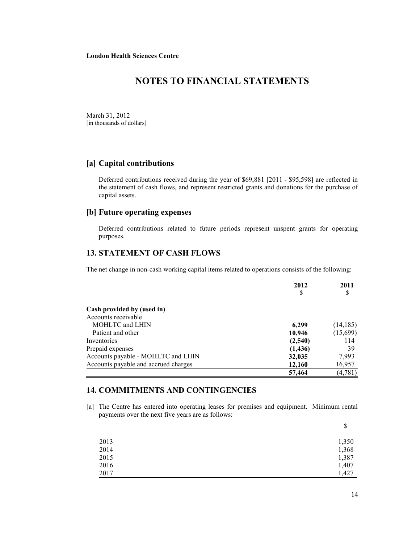March 31, 2012 [in thousands of dollars]

#### **[a] Capital contributions**

Deferred contributions received during the year of \$69,881 [2011 - \$95,598] are reflected in the statement of cash flows, and represent restricted grants and donations for the purchase of capital assets.

#### **[b] Future operating expenses**

Deferred contributions related to future periods represent unspent grants for operating purposes.

### **13. STATEMENT OF CASH FLOWS**

The net change in non-cash working capital items related to operations consists of the following:

|                                      | 2012    | 2011      |
|--------------------------------------|---------|-----------|
|                                      |         | \$        |
| Cash provided by (used in)           |         |           |
| Accounts receivable                  |         |           |
| <b>MOHLTC</b> and LHIN               | 6,299   | (14, 185) |
| Patient and other                    | 10,946  | (15,699)  |
| Inventories                          | (2,540) | 114       |
| Prepaid expenses                     | (1,436) | 39        |
| Accounts payable - MOHLTC and LHIN   | 32,035  | 7,993     |
| Accounts payable and accrued charges | 12,160  | 16,957    |
|                                      | 57,464  | (4,781)   |

#### **14. COMMITMENTS AND CONTINGENCIES**

[a] The Centre has entered into operating leases for premises and equipment. Minimum rental payments over the next five years are as follows:

|      | Φ     |
|------|-------|
|      |       |
| 2013 | 1,350 |
| 2014 | 1,368 |
| 2015 | 1,387 |
| 2016 | 1,407 |
| 2017 | 1,427 |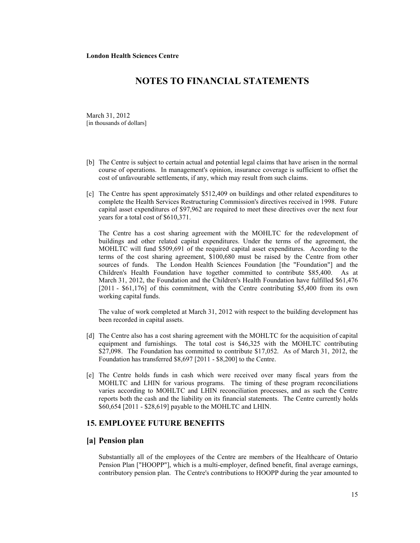March 31, 2012 [in thousands of dollars]

- [b] The Centre is subject to certain actual and potential legal claims that have arisen in the normal course of operations. In management's opinion, insurance coverage is sufficient to offset the cost of unfavourable settlements, if any, which may result from such claims.
- [c] The Centre has spent approximately \$512,409 on buildings and other related expenditures to complete the Health Services Restructuring Commission's directives received in 1998. Future capital asset expenditures of \$97,962 are required to meet these directives over the next four years for a total cost of \$610,371.

The Centre has a cost sharing agreement with the MOHLTC for the redevelopment of buildings and other related capital expenditures. Under the terms of the agreement, the MOHLTC will fund \$509,691 of the required capital asset expenditures. According to the terms of the cost sharing agreement, \$100,680 must be raised by the Centre from other sources of funds. The London Health Sciences Foundation [the "Foundation"] and the Children's Health Foundation have together committed to contribute \$85,400. As at March 31, 2012, the Foundation and the Children's Health Foundation have fulfilled \$61,476 [2011 - \$61,176] of this commitment, with the Centre contributing \$5,400 from its own working capital funds.

The value of work completed at March 31, 2012 with respect to the building development has been recorded in capital assets.

- [d] The Centre also has a cost sharing agreement with the MOHLTC for the acquisition of capital equipment and furnishings. The total cost is \$46,325 with the MOHLTC contributing \$27,098. The Foundation has committed to contribute \$17,052. As of March 31, 2012, the Foundation has transferred \$8,697 [2011 - \$8,200] to the Centre.
- [e] The Centre holds funds in cash which were received over many fiscal years from the MOHLTC and LHIN for various programs. The timing of these program reconciliations varies according to MOHLTC and LHIN reconciliation processes, and as such the Centre reports both the cash and the liability on its financial statements. The Centre currently holds \$60,654 [2011 - \$28,619] payable to the MOHLTC and LHIN.

#### **15. EMPLOYEE FUTURE BENEFITS**

#### **[a] Pension plan**

Substantially all of the employees of the Centre are members of the Healthcare of Ontario Pension Plan ["HOOPP"], which is a multi-employer, defined benefit, final average earnings, contributory pension plan. The Centre's contributions to HOOPP during the year amounted to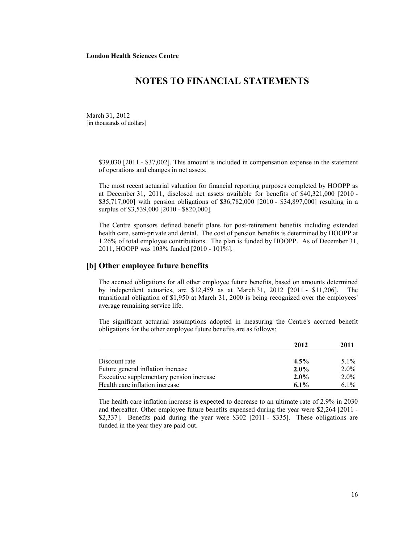March 31, 2012 [in thousands of dollars]

> \$39,030 [2011 - \$37,002]. This amount is included in compensation expense in the statement of operations and changes in net assets.

> The most recent actuarial valuation for financial reporting purposes completed by HOOPP as at December 31, 2011, disclosed net assets available for benefits of \$40,321,000 [2010 - \$35,717,000] with pension obligations of \$36,782,000 [2010 - \$34,897,000] resulting in a surplus of \$3,539,000 [2010 - \$820,000].

> The Centre sponsors defined benefit plans for post-retirement benefits including extended health care, semi-private and dental. The cost of pension benefits is determined by HOOPP at 1.26% of total employee contributions. The plan is funded by HOOPP. As of December 31, 2011, HOOPP was 103% funded [2010 - 101%].

#### **[b] Other employee future benefits**

The accrued obligations for all other employee future benefits, based on amounts determined by independent actuaries, are \$12,459 as at March 31, 2012 [2011 - \$11,206]. The transitional obligation of \$1,950 at March 31, 2000 is being recognized over the employees' average remaining service life.

The significant actuarial assumptions adopted in measuring the Centre's accrued benefit obligations for the other employee future benefits are as follows:

|                                          | 2012    | 2011    |
|------------------------------------------|---------|---------|
|                                          |         |         |
| Discount rate                            | $4.5\%$ | $51\%$  |
| Future general inflation increase        | $2.0\%$ | $2.0\%$ |
| Executive supplementary pension increase | $2.0\%$ | $2.0\%$ |
| Health care inflation increase           | $6.1\%$ | 6.1\%   |

The health care inflation increase is expected to decrease to an ultimate rate of 2.9% in 2030 and thereafter. Other employee future benefits expensed during the year were \$2,264 [2011 - \$2,337]. Benefits paid during the year were \$302 [2011 - \$335]. These obligations are funded in the year they are paid out.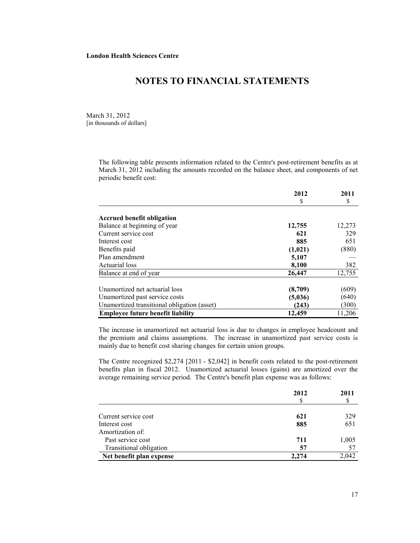March 31, 2012 [in thousands of dollars]

> The following table presents information related to the Centre's post-retirement benefits as at March 31, 2012 including the amounts recorded on the balance sheet, and components of net periodic benefit cost:

|                                             | 2012<br>S | 2011<br>\$ |
|---------------------------------------------|-----------|------------|
|                                             |           |            |
| <b>Accrued benefit obligation</b>           |           |            |
| Balance at beginning of year                | 12,755    | 12,273     |
| Current service cost                        | 621       | 329        |
| Interest cost                               | 885       | 651        |
| Benefits paid                               | (1,021)   | (880)      |
| Plan amendment                              | 5,107     |            |
| <b>Actuarial</b> loss                       | 8,100     | 382        |
| Balance at end of year                      | 26,447    | 12,755     |
| Unamortized net actuarial loss              | (8,709)   | (609)      |
| Unamortized past service costs              | (5,036)   | (640)      |
| Unamortized transitional obligation (asset) | (243)     | (300)      |
| <b>Employee future benefit liability</b>    | 12,459    | 11,206     |

The increase in unamortized net actuarial loss is due to changes in employee headcount and the premium and claims assumptions. The increase in unamortized past service costs is mainly due to benefit cost sharing changes for certain union groups.

The Centre recognized \$2,274 [2011 - \$2,042] in benefit costs related to the post-retirement benefits plan in fiscal 2012. Unamortized actuarial losses (gains) are amortized over the average remaining service period. The Centre's benefit plan expense was as follows:

|                          | 2012  | 2011  |
|--------------------------|-------|-------|
|                          |       |       |
| Current service cost     | 621   | 329   |
| Interest cost            | 885   | 651   |
| Amortization of:         |       |       |
| Past service cost        | 711   | 1,005 |
| Transitional obligation  | 57    | 57    |
| Net benefit plan expense | 2.274 | 2,042 |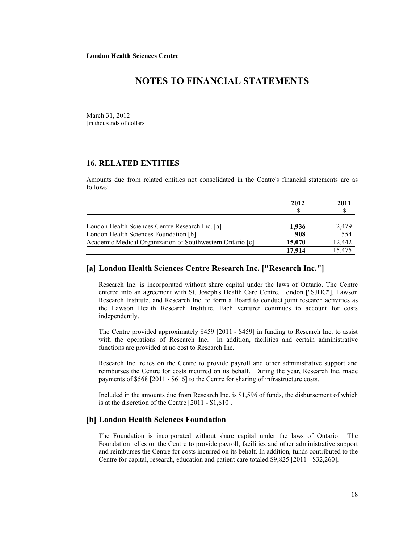March 31, 2012 [in thousands of dollars]

#### **16. RELATED ENTITIES**

Amounts due from related entities not consolidated in the Centre's financial statements are as follows:

|                                                           | 2012   | 2011   |
|-----------------------------------------------------------|--------|--------|
|                                                           |        |        |
| London Health Sciences Centre Research Inc. [a]           | 1,936  | 2,479  |
| London Health Sciences Foundation [b]                     | 908    | 554    |
| Academic Medical Organization of Southwestern Ontario [c] | 15,070 | 12,442 |
|                                                           | 17.914 | 15.475 |

#### **[a] London Health Sciences Centre Research Inc. ["Research Inc."]**

Research Inc. is incorporated without share capital under the laws of Ontario. The Centre entered into an agreement with St. Joseph's Health Care Centre, London ["SJHC"], Lawson Research Institute, and Research Inc. to form a Board to conduct joint research activities as the Lawson Health Research Institute. Each venturer continues to account for costs independently.

The Centre provided approximately \$459 [2011 - \$459] in funding to Research Inc. to assist with the operations of Research Inc. In addition, facilities and certain administrative functions are provided at no cost to Research Inc.

Research Inc. relies on the Centre to provide payroll and other administrative support and reimburses the Centre for costs incurred on its behalf. During the year, Research Inc. made payments of \$568 [2011 - \$616] to the Centre for sharing of infrastructure costs.

Included in the amounts due from Research Inc. is \$1,596 of funds, the disbursement of which is at the discretion of the Centre [2011 - \$1,610].

#### **[b] London Health Sciences Foundation**

The Foundation is incorporated without share capital under the laws of Ontario. The Foundation relies on the Centre to provide payroll, facilities and other administrative support and reimburses the Centre for costs incurred on its behalf. In addition, funds contributed to the Centre for capital, research, education and patient care totaled \$9,825 [2011 - \$32,260].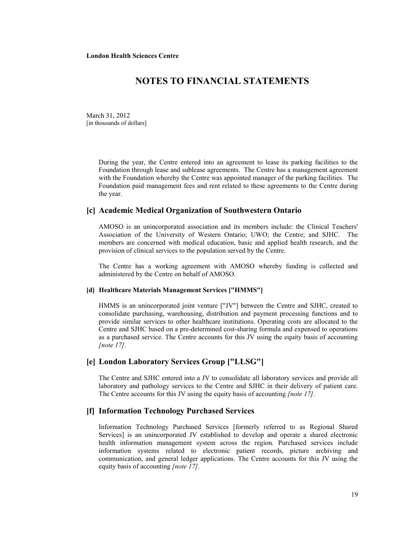March 31, 2012 [in thousands of dollars]

> During the year, the Centre entered into an agreement to lease its parking facilities to the Foundation through lease and sublease agreements. The Centre has a management agreement with the Foundation whereby the Centre was appointed manager of the parking facilities. The Foundation paid management fees and rent related to these agreements to the Centre during the year.

#### **[c] Academic Medical Organization of Southwestern Ontario**

AMOSO is an unincorporated association and its members include: the Clinical Teachers' Association of the University of Western Ontario; UWO; the Centre; and SJHC. The members are concerned with medical education, basic and applied health research, and the provision of clinical services to the population served by the Centre.

The Centre has a working agreement with AMOSO whereby funding is collected and administered by the Centre on behalf of AMOSO.

#### **[d] Healthcare Materials Management Services ["HMMS"]**

HMMS is an unincorporated joint venture ["JV"] between the Centre and SJHC, created to consolidate purchasing, warehousing, distribution and payment processing functions and to provide similar services to other healthcare institutions. Operating costs are allocated to the Centre and SJHC based on a pre-determined cost-sharing formula and expensed to operations as a purchased service. The Centre accounts for this JV using the equity basis of accounting *[note 17].* 

#### **[e] London Laboratory Services Group ["LLSG"]**

The Centre and SJHC entered into a JV to consolidate all laboratory services and provide all laboratory and pathology services to the Centre and SJHC in their delivery of patient care. The Centre accounts for this JV using the equity basis of accounting *[note 17].* 

#### **[f] Information Technology Purchased Services**

Information Technology Purchased Services [formerly referred to as Regional Shared Services] is an unincorporated JV established to develop and operate a shared electronic health information management system across the region. Purchased services include information systems related to electronic patient records, picture archiving and communication, and general ledger applications. The Centre accounts for this JV using the equity basis of accounting *[note 17].*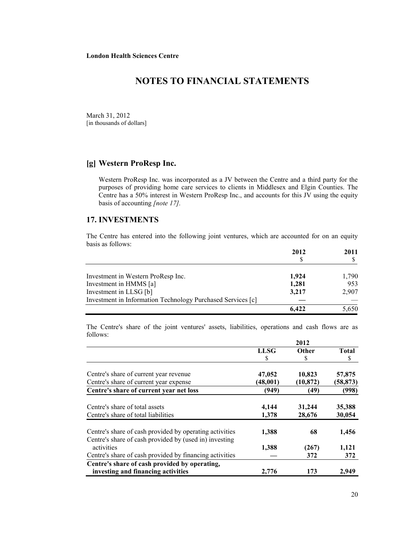March 31, 2012 [in thousands of dollars]

#### **[g] Western ProResp Inc.**

Western ProResp Inc. was incorporated as a JV between the Centre and a third party for the purposes of providing home care services to clients in Middlesex and Elgin Counties. The Centre has a 50% interest in Western ProResp Inc., and accounts for this JV using the equity basis of accounting *[note 17].*

### **17. INVESTMENTS**

The Centre has entered into the following joint ventures, which are accounted for on an equity basis as follows:

|                                                             | 2012  | 2011  |
|-------------------------------------------------------------|-------|-------|
|                                                             |       |       |
| Investment in Western ProResp Inc.                          | 1,924 | 1,790 |
| Investment in HMMS [a]                                      | 1,281 | 953   |
| Investment in LLSG [b]                                      | 3,217 | 2,907 |
| Investment in Information Technology Purchased Services [c] |       |       |
|                                                             | 6.422 | 5,650 |

The Centre's share of the joint ventures' assets, liabilities, operations and cash flows are as follows:

|                                                                                                                   | 2012        |           |          |
|-------------------------------------------------------------------------------------------------------------------|-------------|-----------|----------|
|                                                                                                                   | <b>LLSG</b> | Other     | Total    |
|                                                                                                                   | S           | S         | S        |
| Centre's share of current year revenue                                                                            | 47,052      | 10,823    | 57,875   |
| Centre's share of current year expense                                                                            | (48,001)    | (10, 872) | (58,873) |
| Centre's share of current year net loss                                                                           | (949)       | (49)      | (998)    |
| Centre's share of total assets                                                                                    | 4.144       | 31,244    | 35,388   |
| Centre's share of total liabilities                                                                               | 1,378       | 28,676    | 30,054   |
| Centre's share of cash provided by operating activities<br>Centre's share of cash provided by (used in) investing | 1,388       | 68        | 1,456    |
| activities                                                                                                        | 1,388       | (267)     | 1,121    |
| Centre's share of cash provided by financing activities                                                           |             | 372       | 372      |
| Centre's share of cash provided by operating,                                                                     |             |           |          |
| investing and financing activities                                                                                | 2.776       | 173       | 2,949    |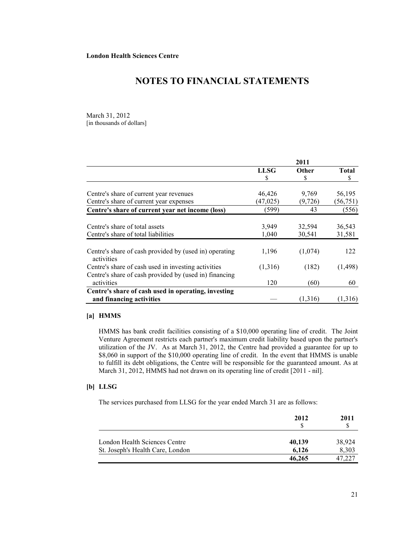March 31, 2012 [in thousands of dollars]

|                                                                      | 2011      |          |           |
|----------------------------------------------------------------------|-----------|----------|-----------|
|                                                                      | LLSG      | Other    | Total     |
|                                                                      | S         |          | S         |
| Centre's share of current year revenues                              | 46,426    | 9,769    | 56,195    |
| Centre's share of current year expenses                              | (47, 025) | (9, 726) | (56, 751) |
| Centre's share of current year net income (loss)                     | (599)     | 43       | (556)     |
| Centre's share of total assets                                       | 3,949     | 32,594   | 36,543    |
| Centre's share of total liabilities                                  | 1,040     | 30,541   | 31,581    |
| Centre's share of cash provided by (used in) operating<br>activities | 1,196     | (1,074)  | 122       |
| Centre's share of cash used in investing activities                  | (1,316)   | (182)    | (1, 498)  |
| Centre's share of cash provided by (used in) financing<br>activities | 120       | (60)     | 60        |
| Centre's share of cash used in operating, investing                  |           |          |           |
| and financing activities                                             |           | (1,316)  | (1,316)   |

#### **[a] HMMS**

HMMS has bank credit facilities consisting of a \$10,000 operating line of credit. The Joint Venture Agreement restricts each partner's maximum credit liability based upon the partner's utilization of the JV. As at March 31, 2012, the Centre had provided a guarantee for up to \$8,060 in support of the \$10,000 operating line of credit. In the event that HMMS is unable to fulfill its debt obligations, the Centre will be responsible for the guaranteed amount. As at March 31, 2012, HMMS had not drawn on its operating line of credit [2011 - nil].

#### **[b] LLSG**

The services purchased from LLSG for the year ended March 31 are as follows:

|                                  | 2012   | 2011   |
|----------------------------------|--------|--------|
| London Health Sciences Centre    | 40,139 | 38,924 |
| St. Joseph's Health Care, London | 6.126  | 8,303  |
|                                  | 46,265 | 47,227 |